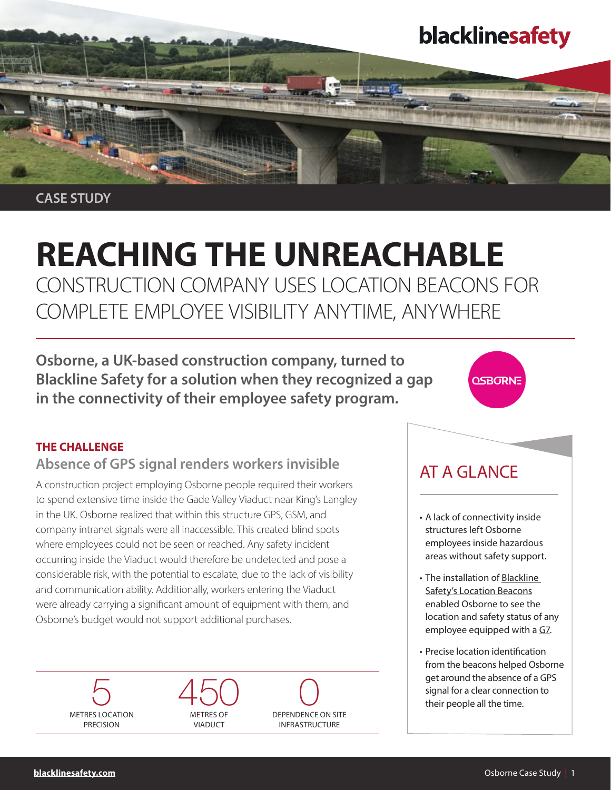## blacklinesafety

CASE STUDY

# REACHING THE UNREACHABLE

CONSTRUCTION COMPANY USES LOCATION BEACONS FOR COMPLETE EMPLOYEE VISIBILITY ANYTIME, ANYWHERE

Osborne, a UK-based construction company, turned to Blackline Safety for a solution when they recognized a gap in the connectivity of their employee safety program.

### THE CHALLENGE

## Absence of GPS signal renders workers invisible

A construction project employing Osborne people required their workers to spend extensive time inside the Gade Valley Viaduct near King's Langley in the UK. Osborne realized that within this structure GPS, GSM, and company intranet signals were all inaccessible. This created blind spots where employees could not be seen or reached. Any safety incident occurring inside the Viaduct would therefore be undetected and pose a considerable risk, with the potential to escalate, due to the lack of visibility and communication ability. Additionally, workers entering the Viaduct were already carrying a significant amount of equipment with them, and Osborne's budget would not support additional purchases.

5 METRES LOCATION **PRECISION** 







## AT A GLANCE

- A lack of connectivity inside structures left Osborne employees inside hazardous areas without safety support.
- The installation of Blackline [Safety's Location Beacons](https://www.blacklinesafety.com/solutions/accessories/location-beacon) enabled Osborne to see the location and safety status of any employee equipped with a [G7.](https://www.blacklinesafety.com/solutions/personal-gas-detection)
- Precise location identification from the beacons helped Osborne get around the absence of a GPS signal for a clear connection to their people all the time.